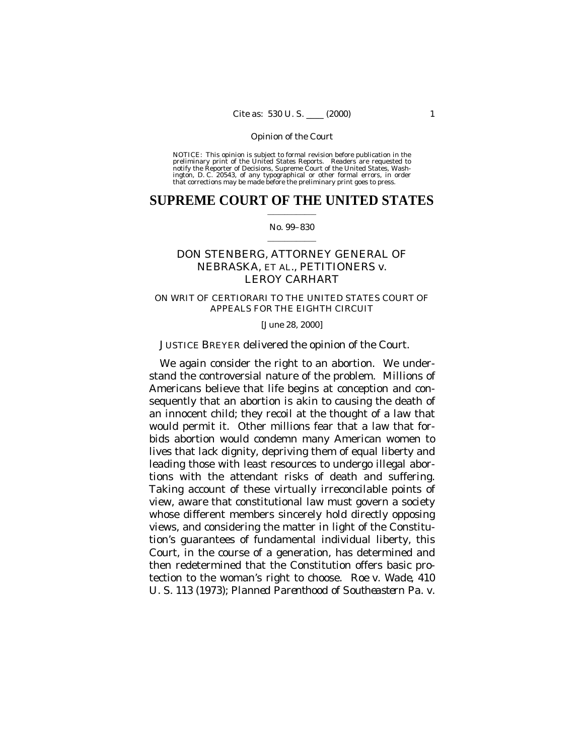NOTICE: This opinion is subject to formal revision before publication in the preliminary print of the United States Reports. Readers are requested to notify the Reporter of Decisions, Supreme Court of the United States, Wa

## **SUPREME COURT OF THE UNITED STATES**  $\mathcal{L}=\mathcal{L}^{\mathcal{L}}$  , where  $\mathcal{L}^{\mathcal{L}}$

#### No. 99–830  $\mathcal{L}=\mathcal{L}^{\mathcal{L}}$  , where  $\mathcal{L}^{\mathcal{L}}$

# DON STENBERG, ATTORNEY GENERAL OF NEBRASKA, ET AL., PETITIONERS *v.* LEROY CARHART

# ON WRIT OF CERTIORARI TO THE UNITED STATES COURT OF APPEALS FOR THE EIGHTH CIRCUIT

[June 28, 2000]

# JUSTICE BREYER delivered the opinion of the Court.

We again consider the right to an abortion. We understand the controversial nature of the problem. Millions of Americans believe that life begins at conception and consequently that an abortion is akin to causing the death of an innocent child; they recoil at the thought of a law that would permit it. Other millions fear that a law that forbids abortion would condemn many American women to lives that lack dignity, depriving them of equal liberty and leading those with least resources to undergo illegal abortions with the attendant risks of death and suffering. Taking account of these virtually irreconcilable points of view, aware that constitutional law must govern a society whose different members sincerely hold directly opposing views, and considering the matter in light of the Constitution's guarantees of fundamental individual liberty, this Court, in the course of a generation, has determined and then redetermined that the Constitution offers basic protection to the woman's right to choose. *Roe* v. *Wade,* 410 U. S. 113 (1973); *Planned Parenthood of Southeastern Pa.* v.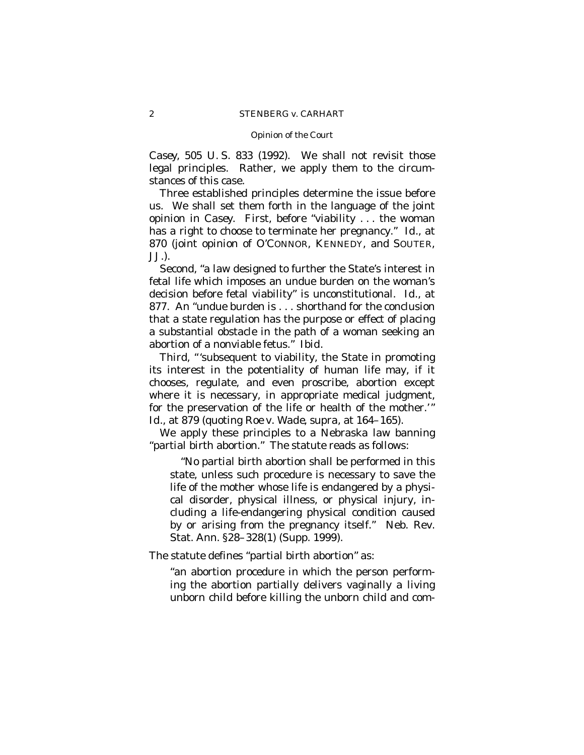*Casey,* 505 U. S. 833 (1992). We shall not revisit those legal principles. Rather, we apply them to the circumstances of this case.

Three established principles determine the issue before us. We shall set them forth in the language of the joint opinion in *Casey*. First, before "viability . . . the woman has a right to choose to terminate her pregnancy." *Id.*, at 870 (joint opinion of O'CONNOR, KENNEDY, and SOUTER, JJ.).

Second, "a law designed to further the State's interest in fetal life which imposes an undue burden on the woman's decision before fetal viability" is unconstitutional. *Id.*, at 877. An "undue burden is . . . shorthand for the conclusion that a state regulation has the purpose or effect of placing a substantial obstacle in the path of a woman seeking an abortion of a nonviable fetus." *Ibid*.

Third, "'subsequent to viability, the State in promoting its interest in the potentiality of human life may, if it chooses, regulate, and even proscribe, abortion except where it is necessary, in appropriate medical judgment, for the preservation of the life or health of the mother.'" *Id.*, at 879 (quoting *Roe* v. *Wade*, *supra*, at 164–165).

We apply these principles to a Nebraska law banning "partial birth abortion." The statute reads as follows:

"No partial birth abortion shall be performed in this state, unless such procedure is necessary to save the life of the mother whose life is endangered by a physical disorder, physical illness, or physical injury, including a life-endangering physical condition caused by or arising from the pregnancy itself." Neb. Rev. Stat. Ann. §28–328(1) (Supp. 1999).

The statute defines "partial birth abortion" as:

"an abortion procedure in which the person performing the abortion partially delivers vaginally a living unborn child before killing the unborn child and com-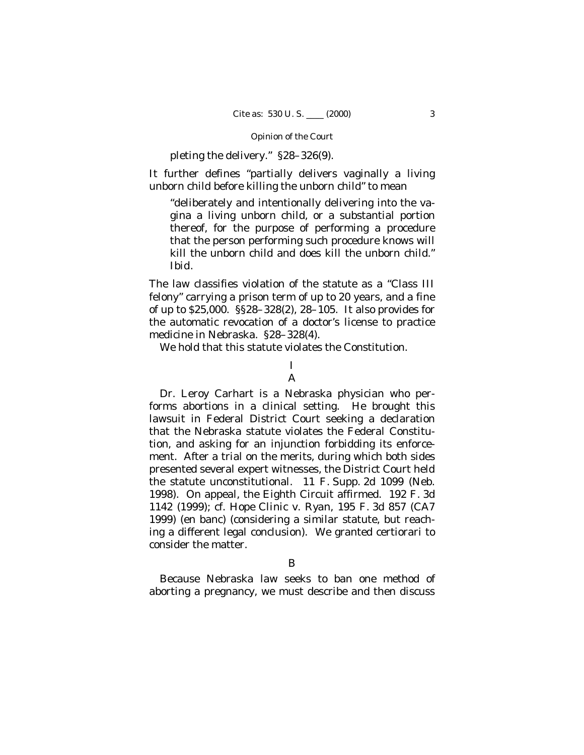pleting the delivery." §28–326(9).

It further defines "partially delivers vaginally a living unborn child before killing the unborn child" to mean

"deliberately and intentionally delivering into the vagina a living unborn child, or a substantial portion thereof, for the purpose of performing a procedure that the person performing such procedure knows will kill the unborn child and does kill the unborn child." *Ibid.*

The law classifies violation of the statute as a "Class III felony" carrying a prison term of up to 20 years, and a fine of up to \$25,000. §§28–328(2), 28–105. It also provides for the automatic revocation of a doctor's license to practice medicine in Nebraska. §28–328(4).

We hold that this statute violates the Constitution.

## I A

Dr. Leroy Carhart is a Nebraska physician who performs abortions in a clinical setting. He brought this lawsuit in Federal District Court seeking a declaration that the Nebraska statute violates the Federal Constitution, and asking for an injunction forbidding its enforcement. After a trial on the merits, during which both sides presented several expert witnesses, the District Court held the statute unconstitutional. 11 F. Supp. 2d 1099 (Neb. 1998). On appeal, the Eighth Circuit affirmed. 192 F. 3d 1142 (1999); cf. *Hope Clinic* v. *Ryan*, 195 F. 3d 857 (CA7 1999) (en banc) (considering a similar statute, but reaching a different legal conclusion). We granted certiorari to consider the matter.

## B

Because Nebraska law seeks to ban one method of aborting a pregnancy, we must describe and then discuss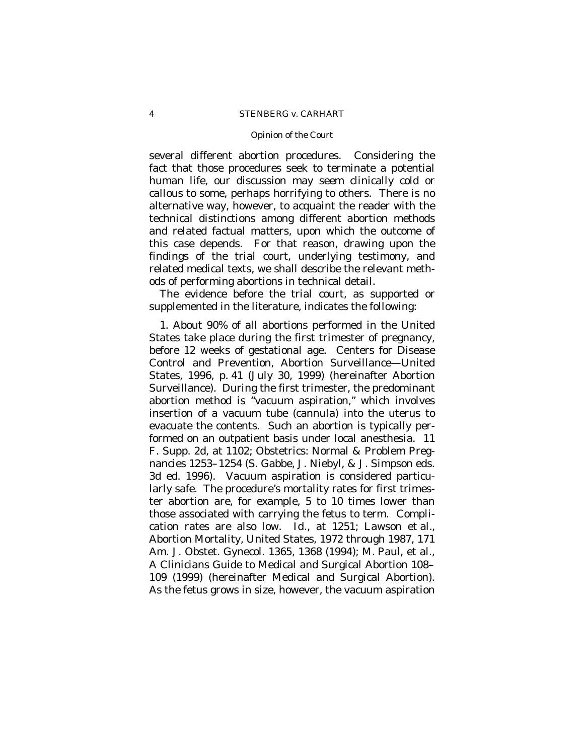### Opinion of the Court

several different abortion procedures. Considering the fact that those procedures seek to terminate a potential human life, our discussion may seem clinically cold or callous to some, perhaps horrifying to others. There is no alternative way, however, to acquaint the reader with the technical distinctions among different abortion methods and related factual matters, upon which the outcome of this case depends. For that reason, drawing upon the findings of the trial court, underlying testimony, and related medical texts, we shall describe the relevant methods of performing abortions in technical detail.

The evidence before the trial court, as supported or supplemented in the literature, indicates the following:

1. About 90% of all abortions performed in the United States take place during the first trimester of pregnancy, before 12 weeks of gestational age. Centers for Disease Control and Prevention, Abortion Surveillance— United States, 1996, p. 41 (July 30, 1999) (hereinafter Abortion Surveillance). During the first trimester, the predominant abortion method is "vacuum aspiration," which involves insertion of a vacuum tube (cannula) into the uterus to evacuate the contents. Such an abortion is typically performed on an outpatient basis under local anesthesia. 11 F. Supp. 2d, at 1102; Obstetrics: Normal & Problem Pregnancies 1253–1254 (S. Gabbe, J. Niebyl, & J. Simpson eds. 3d ed. 1996). Vacuum aspiration is considered particularly safe. The procedure's mortality rates for first trimester abortion are, for example, 5 to 10 times lower than those associated with carrying the fetus to term. Complication rates are also low. *Id.*, at 1251; Lawson et al., Abortion Mortality, United States, 1972 through 1987, 171 Am. J. Obstet. Gynecol. 1365, 1368 (1994); M. Paul, et al., A Clinicians Guide to Medical and Surgical Abortion 108– 109 (1999) (hereinafter Medical and Surgical Abortion). As the fetus grows in size, however, the vacuum aspiration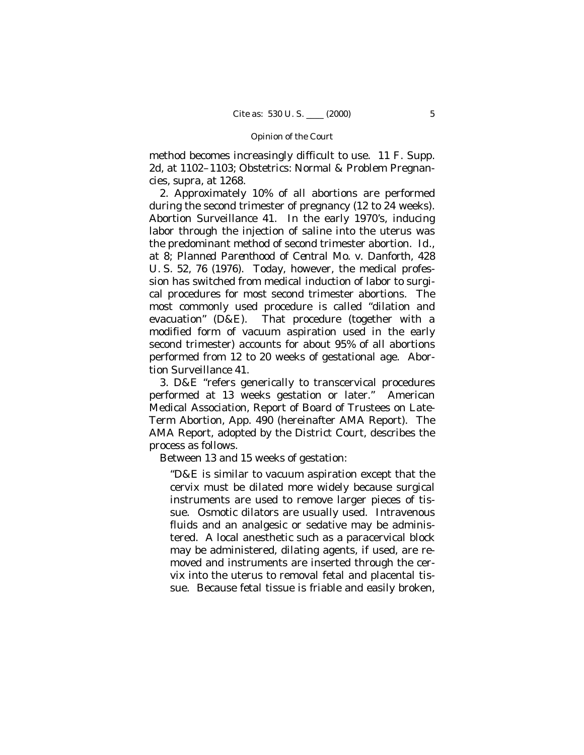method becomes increasingly difficult to use. 11 F. Supp. 2d, at 1102–1103; Obstetrics: Normal & Problem Pregnancies, *supra*, at 1268.

2. Approximately 10% of all abortions are performed during the second trimester of pregnancy (12 to 24 weeks). Abortion Surveillance 41. In the early 1970's, inducing labor through the injection of saline into the uterus was the predominant method of second trimester abortion. *Id.*, at 8; *Planned Parenthood of Central Mo.* v. *Danforth,* 428 U. S. 52, 76 (1976). Today, however, the medical profession has switched from medical induction of labor to surgical procedures for most second trimester abortions. The most commonly used procedure is called "dilation and evacuation" (D&E). That procedure (together with a modified form of vacuum aspiration used in the early second trimester) accounts for about 95% of all abortions performed from 12 to 20 weeks of gestational age. Abortion Surveillance 41.

3. D&E "refers generically to transcervical procedures performed at 13 weeks gestation or later." American Medical Association, Report of Board of Trustees on Late-Term Abortion, App. 490 (hereinafter AMA Report). The AMA Report, adopted by the District Court, describes the process as follows.

Between 13 and 15 weeks of gestation:

"D&E is similar to vacuum aspiration except that the cervix must be dilated more widely because surgical instruments are used to remove larger pieces of tissue. Osmotic dilators are usually used. Intravenous fluids and an analgesic or sedative may be administered. A local anesthetic such as a paracervical block may be administered, dilating agents, if used, are removed and instruments are inserted through the cervix into the uterus to removal fetal and placental tissue. Because fetal tissue is friable and easily broken,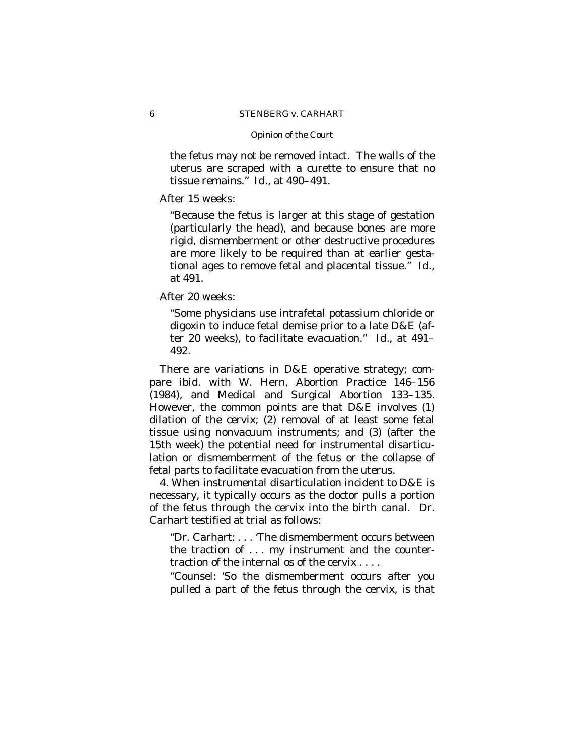the fetus may not be removed intact. The walls of the uterus are scraped with a curette to ensure that no tissue remains." *Id.*, at 490–491.

# After 15 weeks:

"Because the fetus is larger at this stage of gestation (particularly the head), and because bones are more rigid, dismemberment or other destructive procedures are more likely to be required than at earlier gestational ages to remove fetal and placental tissue." *Id.*, at 491.

# After 20 weeks:

"Some physicians use intrafetal potassium chloride or digoxin to induce fetal demise prior to a late D&E (after 20 weeks), to facilitate evacuation." *Id*., at 491– 492.

There are variations in D&E operative strategy; compare *ibid.* with W. Hern, Abortion Practice 146–156 (1984), and Medical and Surgical Abortion 133–135. However, the common points are that D&E involves (1) dilation of the cervix; (2) removal of at least some fetal tissue using nonvacuum instruments; and (3) (after the 15th week) the potential need for instrumental disarticulation or dismemberment of the fetus or the collapse of fetal parts to facilitate evacuation from the uterus.

4. When instrumental disarticulation incident to D&E is necessary, it typically occurs as the doctor pulls a portion of the fetus through the cervix into the birth canal. Dr. Carhart testified at trial as follows:

"Dr. Carhart: . . . 'The dismemberment occurs between the traction of . . . my instrument and the countertraction of the internal os of the cervix . . . .

"Counsel: 'So the dismemberment occurs after you pulled a part of the fetus through the cervix, is that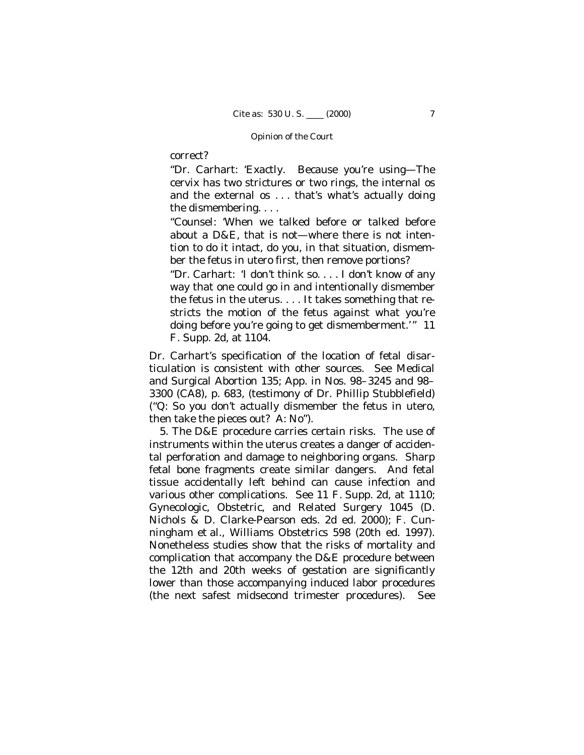correct?

"Dr. Carhart: 'Exactly. Because you're using— The cervix has two strictures or two rings, the internal os and the external os . . . that's what's actually doing the dismembering. . . .

"Counsel: 'When we talked before or talked before about a D&E, that is not— where there is not intention to do it intact, do you, in that situation, dismember the fetus in utero first, then remove portions?

"Dr. Carhart: 'I don't think so. . . . I don't know of any way that one could go in and intentionally dismember the fetus in the uterus. . . . It takes something that restricts the motion of the fetus against what you're doing before you're going to get dismemberment.'" 11 F. Supp. 2d, at 1104.

Dr. Carhart's specification of the location of fetal disarticulation is consistent with other sources. See Medical and Surgical Abortion 135; App. in Nos. 98–3245 and 98– 3300 (CA8), p. 683, (testimony of Dr. Phillip Stubblefield) ("Q: So you don't actually dismember the fetus in utero, then take the pieces out? A: No").

5. The D&E procedure carries certain risks. The use of instruments within the uterus creates a danger of accidental perforation and damage to neighboring organs. Sharp fetal bone fragments create similar dangers. And fetal tissue accidentally left behind can cause infection and various other complications. See 11 F. Supp. 2d, at 1110; Gynecologic, Obstetric, and Related Surgery 1045 (D. Nichols & D. Clarke-Pearson eds. 2d ed. 2000); F. Cunningham et al., Williams Obstetrics 598 (20th ed. 1997). Nonetheless studies show that the risks of mortality and complication that accompany the D&E procedure between the 12th and 20th weeks of gestation are significantly lower than those accompanying induced labor procedures (the next safest midsecond trimester procedures). See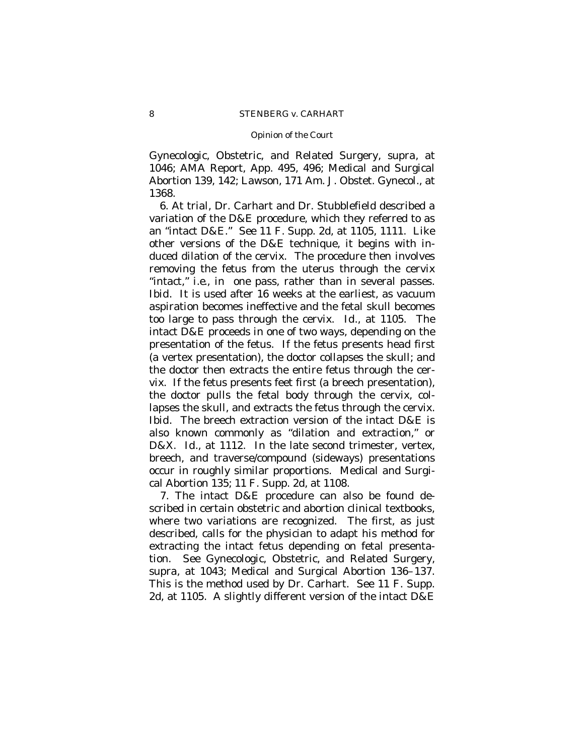Gynecologic, Obstetric, and Related Surgery, *supra*, at 1046; AMA Report, App. 495, 496; Medical and Surgical Abortion 139, 142; Lawson, 171 Am. J. Obstet. Gynecol., at 1368.

6. At trial, Dr. Carhart and Dr. Stubblefield described a variation of the D&E procedure, which they referred to as an "intact D&E." See 11 F. Supp. 2d, at 1105, 1111. Like other versions of the D&E technique, it begins with induced dilation of the cervix. The procedure then involves removing the fetus from the uterus through the cervix "intact," *i.e.*, in one pass, rather than in several passes. *Ibid.* It is used after 16 weeks at the earliest, as vacuum aspiration becomes ineffective and the fetal skull becomes too large to pass through the cervix. *Id.,* at 1105. The intact D&E proceeds in one of two ways, depending on the presentation of the fetus. If the fetus presents head first (a vertex presentation), the doctor collapses the skull; and the doctor then extracts the entire fetus through the cervix. If the fetus presents feet first (a breech presentation), the doctor pulls the fetal body through the cervix, collapses the skull, and extracts the fetus through the cervix. *Ibid.* The breech extraction version of the intact D&E is also known commonly as "dilation and extraction," or D&X. *Id.*, at 1112. In the late second trimester, vertex, breech, and traverse/compound (sideways) presentations occur in roughly similar proportions. Medical and Surgical Abortion 135; 11 F. Supp. 2d, at 1108.

7. The intact D&E procedure can also be found described in certain obstetric and abortion clinical textbooks, where two variations are recognized. The first, as just described, calls for the physician to adapt his method for extracting the intact fetus depending on fetal presentation. See Gynecologic, Obstetric, and Related Surgery, *supra,* at 1043; Medical and Surgical Abortion 136–137. This is the method used by Dr. Carhart. See 11 F. Supp. 2d, at 1105. A slightly different version of the intact D&E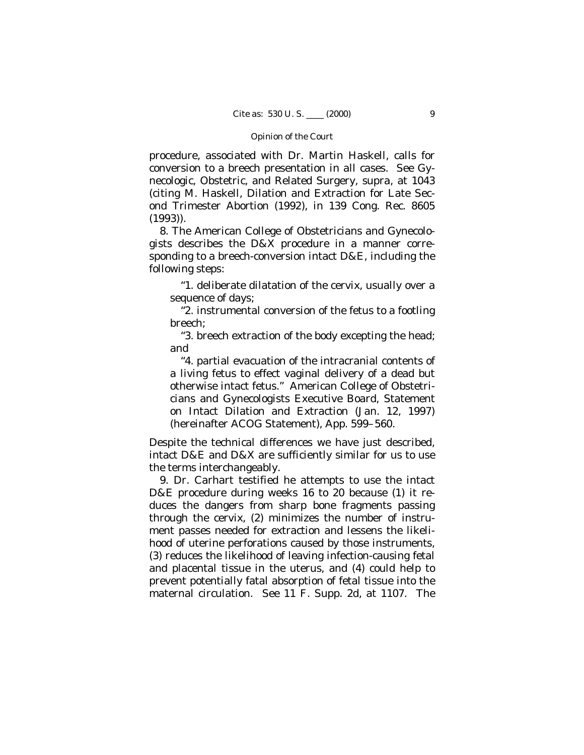procedure, associated with Dr. Martin Haskell, calls for conversion to a breech presentation in all cases. See Gynecologic, Obstetric, and Related Surgery, *supra,* at 1043 (citing M. Haskell, Dilation and Extraction for Late Second Trimester Abortion (1992), in 139 Cong. Rec. 8605 (1993)).

8. The American College of Obstetricians and Gynecologists describes the D&X procedure in a manner corresponding to a breech-conversion intact D&E, including the following steps:

"1. deliberate dilatation of the cervix, usually over a sequence of days;

"2. instrumental conversion of the fetus to a footling breech;

"3. breech extraction of the body excepting the head; and

"4. partial evacuation of the intracranial contents of a living fetus to effect vaginal delivery of a dead but otherwise intact fetus." American College of Obstetricians and Gynecologists Executive Board, Statement on Intact Dilation and Extraction (Jan. 12, 1997) (hereinafter ACOG Statement), App. 599–560.

Despite the technical differences we have just described, intact D&E and D&X are sufficiently similar for us to use the terms interchangeably.

9. Dr. Carhart testified he attempts to use the intact D&E procedure during weeks 16 to 20 because (1) it reduces the dangers from sharp bone fragments passing through the cervix, (2) minimizes the number of instrument passes needed for extraction and lessens the likelihood of uterine perforations caused by those instruments, (3) reduces the likelihood of leaving infection-causing fetal and placental tissue in the uterus, and (4) could help to prevent potentially fatal absorption of fetal tissue into the maternal circulation. See 11 F. Supp. 2d, at 1107. The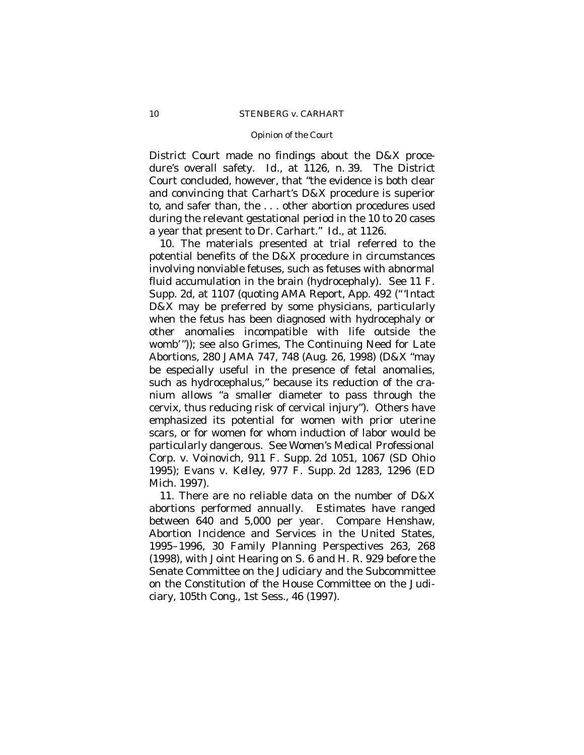District Court made no findings about the D&X procedure's overall safety. *Id*., at 1126, n. 39. The District Court concluded, however, that "the evidence is both clear and convincing that Carhart's D&X procedure is superior to, and safer than, the . . . other abortion procedures used during the relevant gestational period in the 10 to 20 cases a year that present to Dr. Carhart." *Id.*, at 1126.

10. The materials presented at trial referred to the potential benefits of the D&X procedure in circumstances involving nonviable fetuses, such as fetuses with abnormal fluid accumulation in the brain (hydrocephaly). See 11 F. Supp. 2d, at 1107 (quoting AMA Report, App. 492 ("'Intact D&X may be preferred by some physicians, particularly when the fetus has been diagnosed with hydrocephaly or other anomalies incompatible with life outside the womb'")); see also Grimes, The Continuing Need for Late Abortions, 280 JAMA 747, 748 (Aug. 26, 1998) (D&X "may be especially useful in the presence of fetal anomalies, such as hydrocephalus," because its reduction of the cranium allows "a smaller diameter to pass through the cervix, thus reducing risk of cervical injury"). Others have emphasized its potential for women with prior uterine scars, or for women for whom induction of labor would be particularly dangerous. See *Women's Medical Professional Corp.* v. *Voinovich*, 911 F. Supp. 2d 1051, 1067 (SD Ohio 1995); *Evans* v. *Kelley*, 977 F. Supp. 2d 1283, 1296 (ED Mich. 1997).

11. There are no reliable data on the number of D&X abortions performed annually. Estimates have ranged between 640 and 5,000 per year. Compare Henshaw, Abortion Incidence and Services in the United States, 1995–1996, 30 Family Planning Perspectives 263, 268 (1998), with Joint Hearing on S. 6 and H. R. 929 before the Senate Committee on the Judiciary and the Subcommittee on the Constitution of the House Committee on the Judiciary, 105th Cong., 1st Sess., 46 (1997).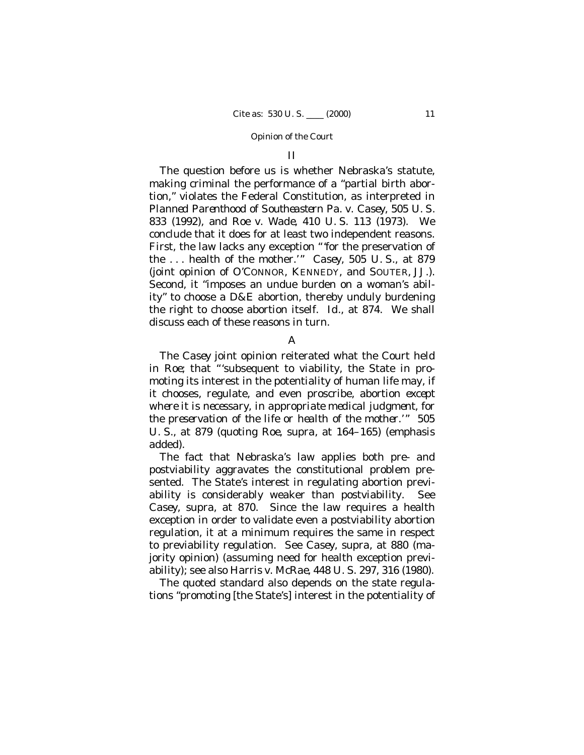### II

The question before us is whether Nebraska's statute, making criminal the performance of a "partial birth abortion," violates the Federal Constitution, as interpreted in *Planned Parenthood of Southeastern Pa.* v. *Casey,* 505 U. S. 833 (1992), and *Roe* v. *Wade,* 410 U. S. 113 (1973). We conclude that it does for at least two independent reasons. First, the law lacks any exception "'for the preservation of the . . . health of the mother.'" *Casey,* 505 U. S., at 879 (joint opinion of O'CONNOR, KENNEDY, and SOUTER, JJ.). Second, it "imposes an undue burden on a woman's ability" to choose a D&E abortion, thereby unduly burdening the right to choose abortion itself. *Id.,* at 874. We shall discuss each of these reasons in turn.

A

The *Casey* joint opinion reiterated what the Court held in *Roe;* that "'subsequent to viability, the State in promoting its interest in the potentiality of human life may, if it chooses, regulate, and even proscribe, abortion *except where it is necessary, in appropriate medical judgment, for the preservation of the life or health of the mother*.'" 505 U. S., at 879 (quoting *Roe*, *supra*, at 164–165) (emphasis added).

The fact that Nebraska's law applies both pre- and postviability aggravates the constitutional problem presented. The State's interest in regulating abortion previability is considerably weaker than postviability. See *Casey*, *supra*, at 870. Since the law requires a health exception in order to validate even a postviability abortion regulation, it at a minimum requires the same in respect to previability regulation. See *Casey*, *supra*, at 880 (majority opinion) (assuming need for health exception previability); see also *Harris* v. *McRae,* 448 U. S. 297, 316 (1980).

The quoted standard also depends on the state regulations "promoting [the State's] interest in the potentiality of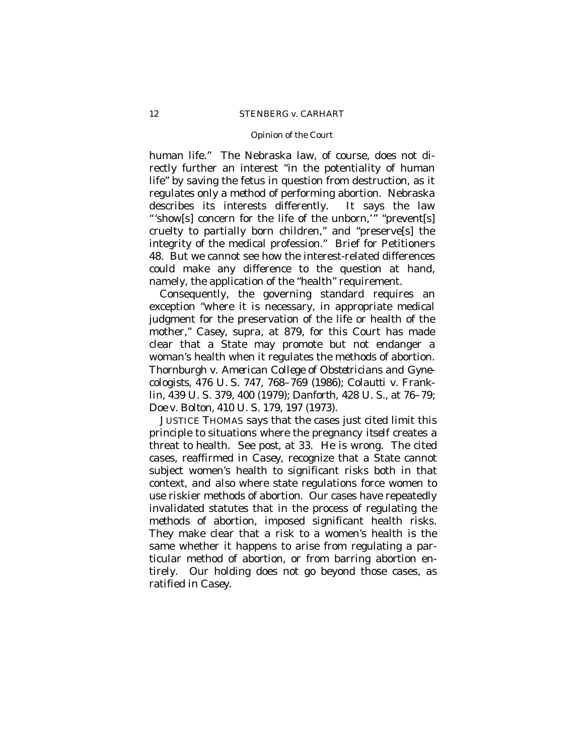### Opinion of the Court

human life." The Nebraska law, of course, does not directly further an interest "in the potentiality of human life" by saving the fetus in question from destruction, as it regulates only a *method* of performing abortion. Nebraska describes its interests differently. It says the law "'show[s] concern for the life of the unborn,'" "prevent[s] cruelty to partially born children," and "preserve[s] the integrity of the medical profession." Brief for Petitioners 48. But we cannot see how the interest-related differences could make any difference to the question at hand, namely, the application of the "health" requirement.

Consequently, the governing standard requires an exception "where it is necessary, in appropriate medical judgment for the preservation of the life or health of the mother," *Casey*, *supra*, at 879, for this Court has made clear that a State may promote but not endanger a woman's health when it regulates the methods of abortion. *Thornburgh* v. *American College of Obstetricians and Gynecologists,* 476 U. S. 747, 768–769 (1986); *Colautti* v. *Franklin,* 439 U. S. 379, 400 (1979); *Danforth*, 428 U. S., at 76–79; *Doe* v. *Bolton,* 410 U. S. 179, 197 (1973).

JUSTICE THOMAS says that the cases just cited limit this principle to situations where the pregnancy *itself* creates a threat to health. See *post*, at 33. He is wrong. The cited cases, reaffirmed in *Casey*, recognize that a State cannot subject women's health to significant risks both in that context, *and also* where state regulations force women to use riskier methods of abortion. Our cases have repeatedly invalidated statutes that in the process of regulating the *methods* of abortion, imposed significant health risks. They make clear that a risk to a women's health is the same whether it happens to arise from regulating a particular method of abortion, or from barring abortion entirely. Our holding does not go beyond those cases, as ratified in *Casey*.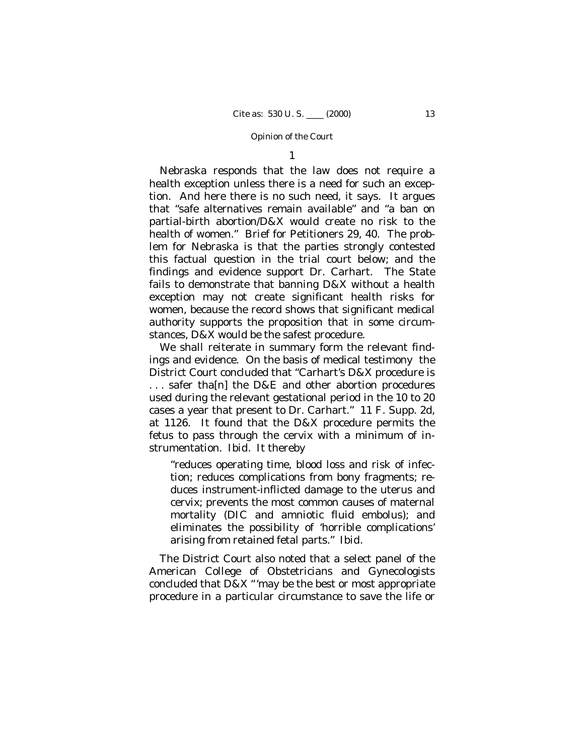1

Nebraska responds that the law does not require a health exception unless there is a need for such an exception. And here there is no such need, it says. It argues that "safe alternatives remain available" and "a ban on partial-birth abortion/D&X would create no risk to the health of women." Brief for Petitioners 29, 40. The problem for Nebraska is that the parties strongly contested this factual question in the trial court below; and the findings and evidence support Dr. Carhart. The State fails to demonstrate that banning D&X without a health exception may not create significant health risks for women, because the record shows that significant medical authority supports the proposition that in some circumstances, D&X would be the safest procedure.

We shall reiterate in summary form the relevant findings and evidence. On the basis of medical testimony the District Court concluded that "Carhart's D&X procedure is . . . safer tha[n] the D&E and other abortion procedures used during the relevant gestational period in the 10 to 20 cases a year that present to Dr. Carhart." 11 F. Supp. 2d, at 1126. It found that the D&X procedure permits the fetus to pass through the cervix with a minimum of instrumentation. *Ibid.* It thereby

"reduces operating time, blood loss and risk of infection; reduces complications from bony fragments; reduces instrument-inflicted damage to the uterus and cervix; prevents the most common causes of maternal mortality (DIC and amniotic fluid embolus); and eliminates the possibility of 'horrible complications' arising from retained fetal parts." *Ibid.*

The District Court also noted that a select panel of the American College of Obstetricians and Gynecologists concluded that D&X "'may be the best or most appropriate procedure in a particular circumstance to save the life or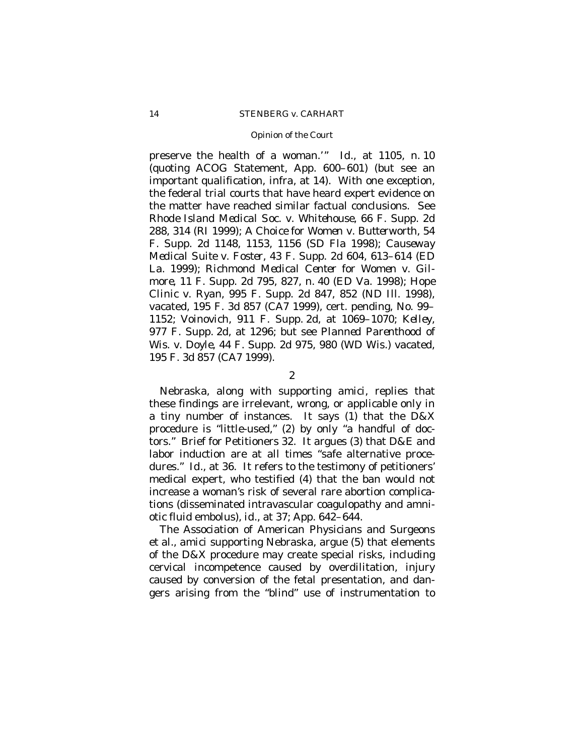#### Opinion of the Court

preserve the health of a woman.'" *Id.,* at 1105, n. 10 (quoting ACOG Statement, App. 600–601) (but see an important qualification, *infra*, at 14). With one exception, the federal trial courts that have heard expert evidence on the matter have reached similar factual conclusions. See *Rhode Island Medical Soc.* v. *Whitehouse*, 66 F. Supp. 2d 288, 314 (RI 1999); *A Choice for Women* v. *Butterworth*, 54 F. Supp. 2d 1148, 1153, 1156 (SD Fla 1998); *Causeway Medical Suite* v. *Foster*, 43 F. Supp. 2d 604, 613–614 (ED La. 1999); *Richmond Medical Center for Women* v. *Gilmore*, 11 F. Supp. 2d 795, 827, n. 40 (ED Va. 1998); *Hope Clinic* v. *Ryan*, 995 F. Supp. 2d 847, 852 (ND Ill. 1998), vacated, 195 F. 3d 857 (CA7 1999), cert. pending, No. 99– 1152; *Voinovich*, 911 F. Supp. 2d, at 1069–1070; *Kelley*, 977 F. Supp. 2d, at 1296; but see *Planned Parenthood of Wis.* v. *Doyle*, 44 F. Supp. 2d 975, 980 (WD Wis.) vacated, 195 F. 3d 857 (CA7 1999).

 $\mathfrak{p}$ 

Nebraska, along with supporting *amici*, replies that these findings are irrelevant, wrong, or applicable only in a tiny number of instances. It says (1) that the D&X procedure is "little-used," (2) by only "a handful of doctors." Brief for Petitioners 32. It argues (3) that D&E and labor induction are at all times "safe alternative procedures." *Id.,* at 36. It refers to the testimony of petitioners' medical expert, who testified (4) that the ban would not increase a woman's risk of several rare abortion complications (disseminated intravascular coagulopathy and amniotic fluid embolus), *id.*, at 37; App. 642–644.

The Association of American Physicians and Surgeons et al., *amici* supporting Nebraska, argue (5) that elements of the D&X procedure may create special risks, including cervical incompetence caused by overdilitation, injury caused by conversion of the fetal presentation, and dangers arising from the "blind" use of instrumentation to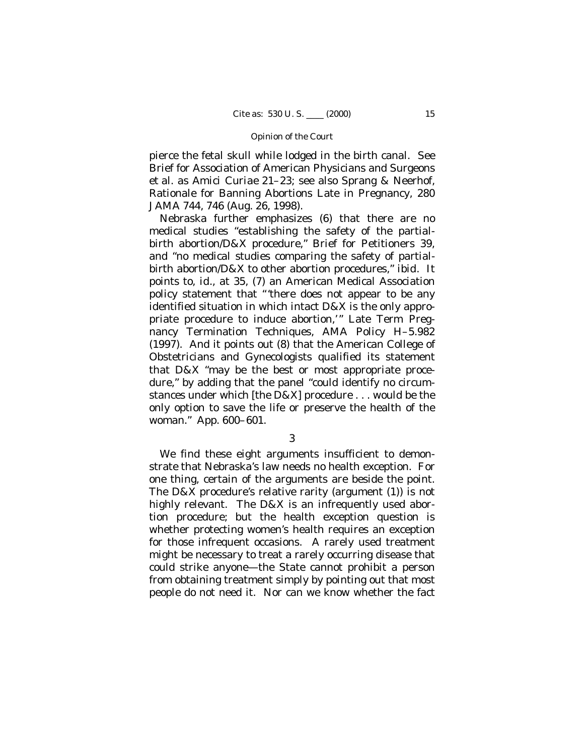pierce the fetal skull while lodged in the birth canal. See Brief for Association of American Physicians and Surgeons et al. as *Amici Curiae* 21–23; see also Sprang & Neerhof, Rationale for Banning Abortions Late in Pregnancy, 280 JAMA 744, 746 (Aug. 26, 1998).

Nebraska further emphasizes (6) that there are no medical studies "establishing the safety of the partialbirth abortion/D&X procedure," Brief for Petitioners 39, and "no medical studies comparing the safety of partialbirth abortion/D&X to other abortion procedures," *ibid.* It points to, *id.,* at 35, (7) an American Medical Association policy statement that "'there does not appear to be any identified situation in which intact D&X is the only appropriate procedure to induce abortion,'" Late Term Pregnancy Termination Techniques, AMA Policy H–5.982 (1997). And it points out (8) that the American College of Obstetricians and Gynecologists qualified its statement that D&X "may be the best or most appropriate procedure," by adding that the panel "could identify no circumstances under which [the D&X] procedure . . . would be the only option to save the life or preserve the health of the woman." App. 600–601.

3

We find these eight arguments insufficient to demonstrate that Nebraska's law needs no health exception. For one thing, certain of the arguments are beside the point. The D&X procedure's relative rarity (argument (1)) is not highly relevant. The D&X is an infrequently used abortion procedure; but the health exception question is whether protecting women's health requires an exception for those infrequent occasions. A rarely used treatment might be necessary to treat a rarely occurring disease that could strike anyone— the State cannot prohibit a person from obtaining treatment simply by pointing out that most people do not need it. Nor can we know whether the fact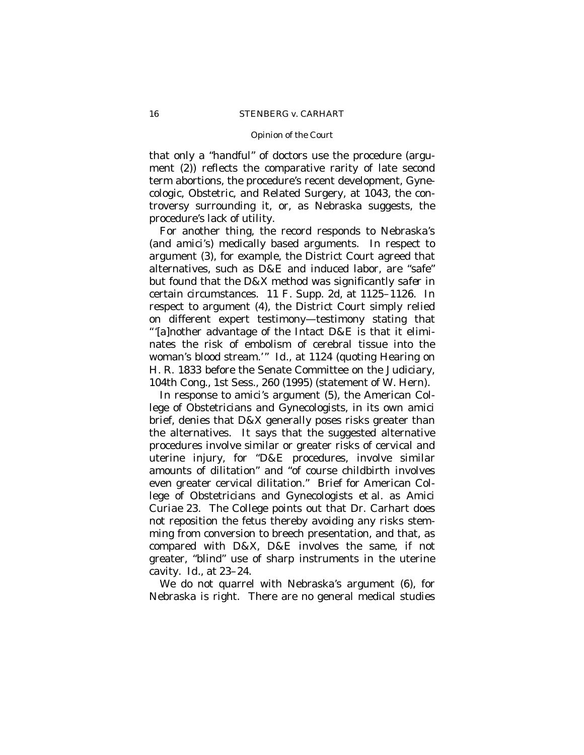#### Opinion of the Court

that only a "handful" of doctors use the procedure (argument (2)) reflects the comparative rarity of late second term abortions, the procedure's recent development, Gynecologic, Obstetric, and Related Surgery, at 1043, the controversy surrounding it, or, as Nebraska suggests, the procedure's lack of utility.

For another thing, the record responds to Nebraska's (and *amici*'s) medically based arguments. In respect to argument (3), for example, the District Court agreed that alternatives, such as D&E and induced labor, are "safe" but found that the D&X method was significantly *safer* in certain circumstances. 11 F. Supp. 2d, at 1125–1126. In respect to argument (4), the District Court simply relied on different expert testimony— testimony stating that "'[a]nother advantage of the Intact D&E is that it eliminates the risk of embolism of cerebral tissue into the woman's blood stream.'" *Id.*, at 1124 (quoting Hearing on H. R. 1833 before the Senate Committee on the Judiciary, 104th Cong., 1st Sess., 260 (1995) (statement of W. Hern).

In response to *amici*'s argument (5), the American College of Obstetricians and Gynecologists, in its own *amici* brief, denies that D&X generally poses risks greater than the alternatives. It says that the suggested alternative procedures involve similar or greater risks of cervical and uterine injury, for "D&E procedures, involve similar amounts of dilitation" and "of course childbirth involves even greater cervical dilitation." Brief for American College of Obstetricians and Gynecologists et al. as *Amici Curiae* 23. The College points out that Dr. Carhart does not reposition the fetus thereby avoiding any risks stemming from conversion to breech presentation, and that, as compared with D&X, D&E involves the same, if not greater, "blind" use of sharp instruments in the uterine cavity. *Id.*, at 23–24.

We do not quarrel with Nebraska's argument (6), for Nebraska is right. There are no general medical studies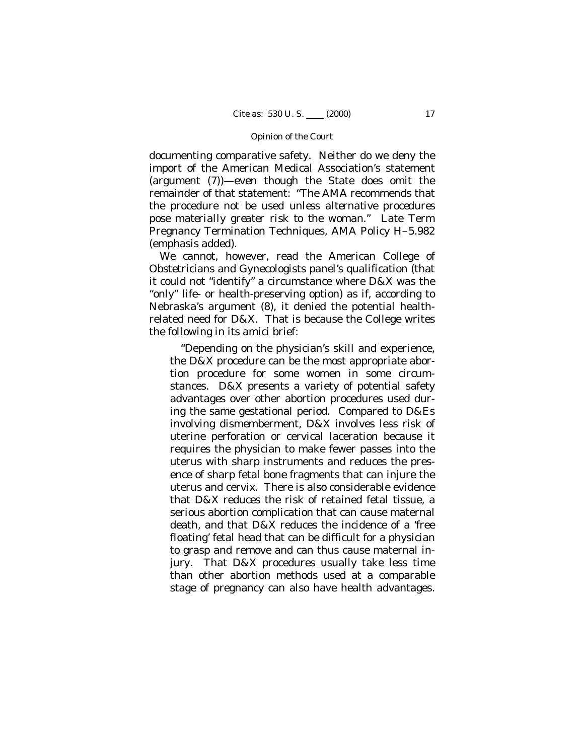documenting comparative safety. Neither do we deny the import of the American Medical Association's statement  $(\text{argument} \ (7))$  even though the State does omit the remainder of that statement: "The AMA recommends that the procedure not be used *unless alternative procedures pose materially greater risk to the woman."* Late Term Pregnancy Termination Techniques, AMA Policy H–5.982 (emphasis added).

We cannot, however, read the American College of Obstetricians and Gynecologists panel's qualification (that it could not "identify" a circumstance where D&X was the "only" life- or health-preserving option) as if, according to Nebraska's argument (8), it denied the potential healthrelated need for D&X. That is because the College writes the following in its *amici* brief:

"Depending on the physician's skill and experience, the D&X procedure can be the most appropriate abortion procedure for some women in some circumstances. D&X presents a variety of potential safety advantages over other abortion procedures used during the same gestational period. Compared to D&Es involving dismemberment, D&X involves less risk of uterine perforation or cervical laceration because it requires the physician to make fewer passes into the uterus with sharp instruments and reduces the presence of sharp fetal bone fragments that can injure the uterus and cervix. There is also considerable evidence that D&X reduces the risk of retained fetal tissue, a serious abortion complication that can cause maternal death, and that D&X reduces the incidence of a 'free floating' fetal head that can be difficult for a physician to grasp and remove and can thus cause maternal injury. That D&X procedures usually take less time than other abortion methods used at a comparable stage of pregnancy can also have health advantages.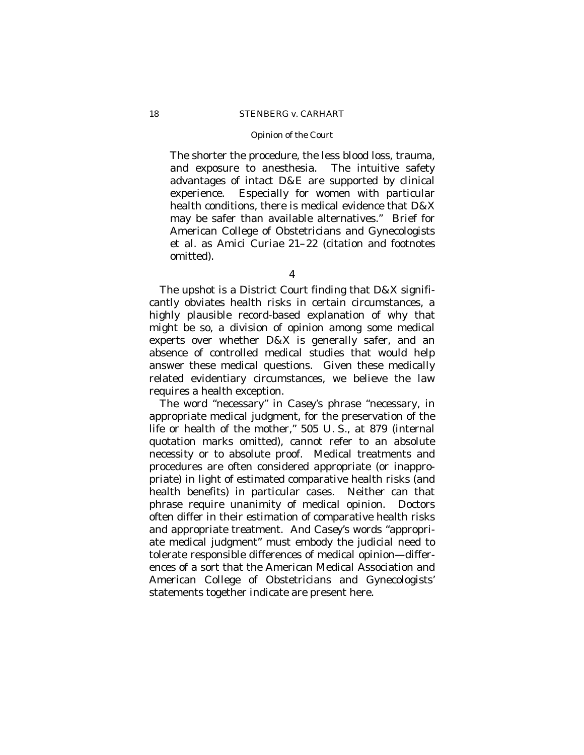#### Opinion of the Court

The shorter the procedure, the less blood loss, trauma, and exposure to anesthesia. The intuitive safety advantages of intact D&E are supported by clinical experience. Especially for women with particular health conditions, there is medical evidence that D&X may be safer than available alternatives." Brief for American College of Obstetricians and Gynecologists et al. as *Amici Curiae* 21–22 (citation and footnotes omitted).

The upshot is a District Court finding that D&X significantly obviates health risks in certain circumstances, a highly plausible record-based explanation of why that might be so, a division of opinion among some medical experts over whether D&X is generally safer, and an absence of controlled medical studies that would help answer these medical questions. Given these medically related evidentiary circumstances, we believe the law requires a health exception.

The word "necessary" in *Casey*'s phrase "necessary, in appropriate medical judgment, for the preservation of the life or health of the mother," 505 U. S., at 879 (internal quotation marks omitted), cannot refer to an absolute necessity or to absolute proof. Medical treatments and procedures are often considered appropriate (or inappropriate) in light of estimated comparative health risks (and health benefits) in particular cases. Neither can that phrase require unanimity of medical opinion. Doctors often differ in their estimation of comparative health risks and appropriate treatment. And *Casey*'s words "appropriate medical judgment" must embody the judicial need to tolerate responsible differences of medical opinion— differences of a sort that the American Medical Association and American College of Obstetricians and Gynecologists' statements together indicate are present here.

<sup>4</sup>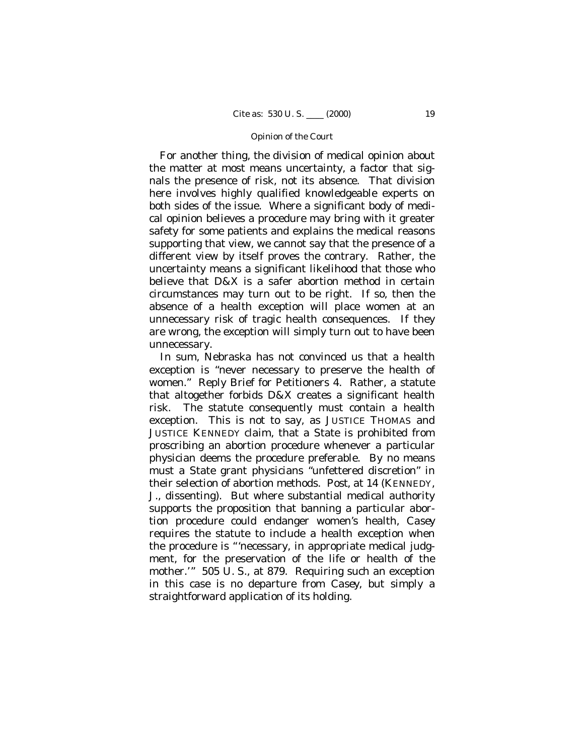For another thing, the division of medical opinion about the matter at most means uncertainty, a factor that signals the presence of risk, not its absence. That division here involves highly qualified knowledgeable experts on both sides of the issue. Where a significant body of medical opinion believes a procedure may bring with it greater safety for some patients and explains the medical reasons supporting that view, we cannot say that the presence of a different view by itself proves the contrary. Rather, the uncertainty means a significant likelihood that those who believe that D&X is a safer abortion method in certain circumstances may turn out to be right. If so, then the absence of a health exception will place women at an unnecessary risk of tragic health consequences. If they are wrong, the exception will simply turn out to have been unnecessary.

In sum, Nebraska has not convinced us that a health exception is "never necessary to preserve the health of women." Reply Brief for Petitioners 4. Rather, a statute that altogether forbids D&X creates a significant health risk. The statute consequently must contain a health exception. This is not to say, as JUSTICE THOMAS and JUSTICE KENNEDY claim, that a State is prohibited from proscribing an abortion procedure whenever a particular physician deems the procedure preferable. By no means must a State grant physicians "unfettered discretion" in their selection of abortion methods. *Post*, at 14 (KENNEDY, J., dissenting). But where substantial medical authority supports the proposition that banning a particular abortion procedure could endanger women's health, *Casey* requires the statute to include a health exception when the procedure is "'necessary, in appropriate medical judgment, for the preservation of the life or health of the mother.'" 505 U. S., at 879. Requiring such an exception in this case is no departure from *Casey*, but simply a straightforward application of its holding.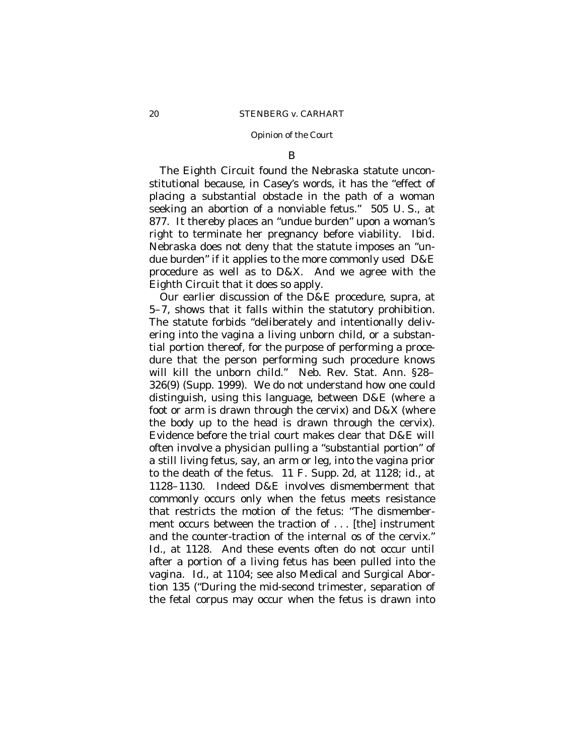B

The Eighth Circuit found the Nebraska statute unconstitutional because, in *Casey*'s words, it has the "effect of placing a substantial obstacle in the path of a woman seeking an abortion of a nonviable fetus." 505 U. S., at 877*.* It thereby places an "undue burden" upon a woman's right to terminate her pregnancy before viability. *Ibid*. Nebraska does not deny that the statute imposes an "undue burden" *if* it applies to the more commonly used D&E procedure as well as to D&X. And we agree with the Eighth Circuit that it does so apply.

Our earlier discussion of the D&E procedure, *supra*, at 5–7, shows that it falls within the statutory prohibition. The statute forbids "deliberately and intentionally delivering into the vagina a living unborn child, or a substantial portion thereof, for the purpose of performing a procedure that the person performing such procedure knows will kill the unborn child." Neb. Rev. Stat. Ann. §28– 326(9) (Supp. 1999). We do not understand how one could distinguish, using this language, between D&E (where a foot or arm is drawn through the cervix) and D&X (where the body up to the head is drawn through the cervix). Evidence before the trial court makes clear that D&E will often involve a physician pulling a "substantial portion" of a still living fetus, say, an arm or leg, into the vagina prior to the death of the fetus. 11 F. Supp. 2d, at 1128; *id.*, at 1128–1130. Indeed D&E involves dismemberment that commonly occurs only when the fetus meets resistance that restricts the motion of the fetus: "The dismemberment occurs between the traction of . . . [the] instrument and the counter-traction of the internal os of the cervix." *Id.*, at 1128. And these events often do not occur until after a portion of a living fetus has been pulled into the vagina. *Id.,* at 1104; see also Medical and Surgical Abortion 135 ("During the mid-second trimester, separation of the fetal corpus may occur when the fetus is drawn into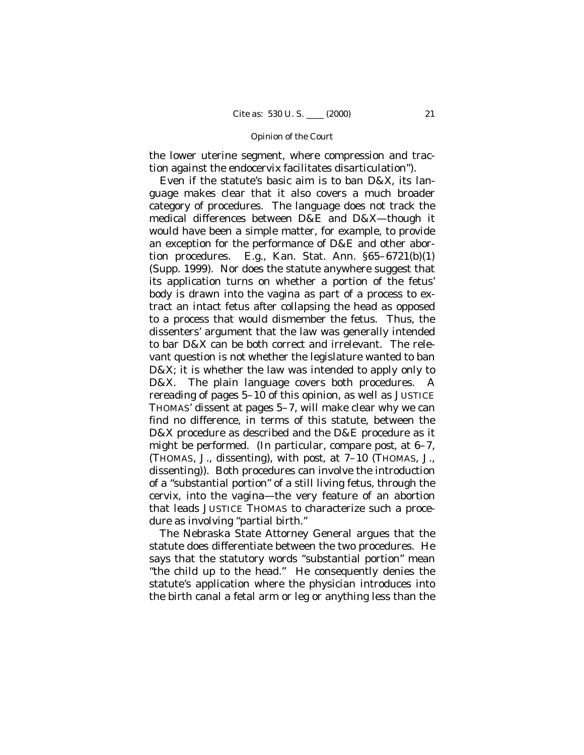the lower uterine segment, where compression and traction against the endocervix facilitates disarticulation").

Even if the statute's basic aim is to ban D&X, its language makes clear that it also covers a much broader category of procedures. The language does not track the medical differences between D&E and D&X— though it would have been a simple matter, for example, to provide an exception for the performance of D&E and other abortion procedures. *E.g.*, Kan. Stat. Ann. §65–6721(b)(1) (Supp. 1999). Nor does the statute anywhere suggest that its application turns on whether a portion of the fetus' body is drawn into the vagina as part of a process to extract an intact fetus after collapsing the head as opposed to a process that would dismember the fetus. Thus, the dissenters' argument that the law was generally intended to bar D&X can be both correct and irrelevant. The relevant question is *not* whether the legislature wanted to ban D&X; it is whether the law was intended to apply *only* to D&X. The plain language covers both procedures. A rereading of pages 5–10 of this opinion, as well as JUSTICE THOMAS' dissent at pages 5–7, will make clear why we can find no difference, in terms of *this* statute, between the D&X procedure as described and the D&E procedure as it might be performed. (In particular, compare *post*, at 6–7, (THOMAS, J., dissenting), with *post*, at 7–10 (THOMAS, J., dissenting)). Both procedures can involve the introduction of a "substantial portion" of a still living fetus, through the cervix, into the vagina— the very feature of an abortion that leads JUSTICE THOMAS to characterize such a procedure as involving "partial birth."

The Nebraska State Attorney General argues that the statute does differentiate between the two procedures. He says that the statutory words "substantial portion" mean "the child up to the head." He consequently denies the statute's application where the physician introduces into the birth canal a fetal arm or leg or anything less than the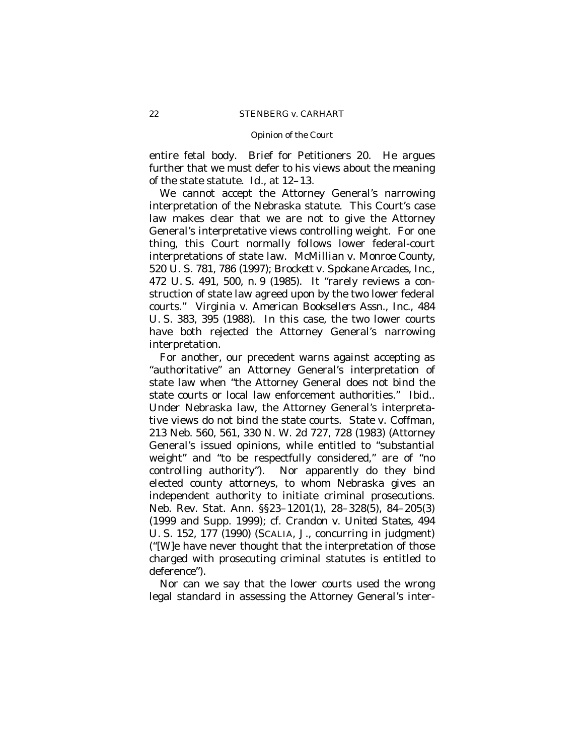entire fetal body. Brief for Petitioners 20. He argues further that we must defer to his views about the meaning of the state statute. *Id.*, at 12–13.

We cannot accept the Attorney General's narrowing interpretation of the Nebraska statute. This Court's case law makes clear that we are not to give the Attorney General's interpretative views controlling weight. For one thing, this Court normally follows lower federal-court interpretations of state law. *McMillian* v. *Monroe County,* 520 U. S. 781, 786 (1997); *Brockett* v. *Spokane Arcades, Inc.*, 472 U. S. 491, 500, n. 9 (1985). It "rarely reviews a construction of state law agreed upon by the two lower federal courts." *Virginia* v. *American Booksellers Assn., Inc.,* 484 U. S. 383, 395 (1988). In this case, the two lower courts have both rejected the Attorney General's narrowing interpretation.

For another, our precedent warns against accepting as "authoritative" an Attorney General's interpretation of state law when "the Attorney General does not bind the state courts or local law enforcement authorities." *Ibid.*. Under Nebraska law, the Attorney General's interpretative views do not bind the state courts. *State* v. *Coffman*, 213 Neb. 560, 561, 330 N. W. 2d 727, 728 (1983) (Attorney General's issued opinions, while entitled to "substantial weight" and "to be respectfully considered," are of "no controlling authority"). Nor apparently do they bind elected county attorneys, to whom Nebraska gives an independent authority to initiate criminal prosecutions. Neb. Rev. Stat. Ann. §§23–1201(1), 28–328(5), 84–205(3) (1999 and Supp. 1999); cf. *Crandon* v. *United States,* 494 U. S. 152, 177 (1990) (SCALIA, J., concurring in judgment) ("[W]e have never thought that the interpretation of those charged with prosecuting criminal statutes is entitled to deference").

Nor can we say that the lower courts used the wrong legal standard in assessing the Attorney General's inter-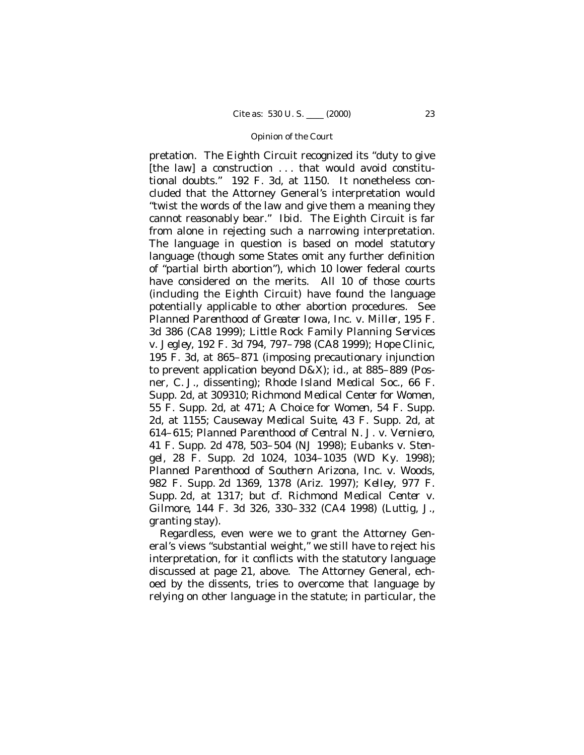pretation. The Eighth Circuit recognized its "duty to give [the law] a construction . . . that would avoid constitutional doubts." 192 F. 3d, at 1150. It nonetheless concluded that the Attorney General's interpretation would "twist the words of the law and give them a meaning they cannot reasonably bear." *Ibid.* The Eighth Circuit is far from alone in rejecting such a narrowing interpretation. The language in question is based on model statutory language (though some States omit any further definition of "partial birth abortion"), which 10 lower federal courts have considered on the merits. All 10 of those courts (including the Eighth Circuit) have found the language potentially applicable to other abortion procedures. See *Planned Parenthood of Greater Iowa, Inc.* v. *Miller*, 195 F. 3d 386 (CA8 1999); *Little Rock Family Planning Services* v. *Jegley*, 192 F. 3d 794, 797–798 (CA8 1999); *Hope Clinic*, 195 F. 3d, at 865–871 (imposing precautionary injunction to prevent application beyond D&X); *id*., at 885–889 (Posner, C. J., dissenting); *Rhode Island Medical Soc.,* 66 F. Supp. 2d, at 309310; *Richmond Medical Center for Women*, 55 F. Supp. 2d, at 471; *A Choice for Women*, 54 F. Supp. 2d, at 1155; *Causeway Medical Suite*, 43 F. Supp. 2d, at 614–615; *Planned Parenthood of Central N. J.* v. *Verniero*, 41 F. Supp. 2d 478, 503–504 (NJ 1998); *Eubanks* v. *Stengel*, 28 F. Supp. 2d 1024, 1034–1035 (WD Ky. 1998); *Planned Parenthood of Southern Arizona, Inc.* v. *Woods*, 982 F. Supp. 2d 1369, 1378 (Ariz. 1997); *Kelley*, 977 F. Supp. 2d, at 1317; but cf. *Richmond Medical Center* v. *Gilmore*, 144 F. 3d 326, 330–332 (CA4 1998) (Luttig, J., granting stay).

Regardless, even were we to grant the Attorney General's views "substantial weight," we still have to reject his interpretation, for it conflicts with the statutory language discussed at page 21, above. The Attorney General, echoed by the dissents, tries to overcome that language by relying on other language in the statute; in particular, the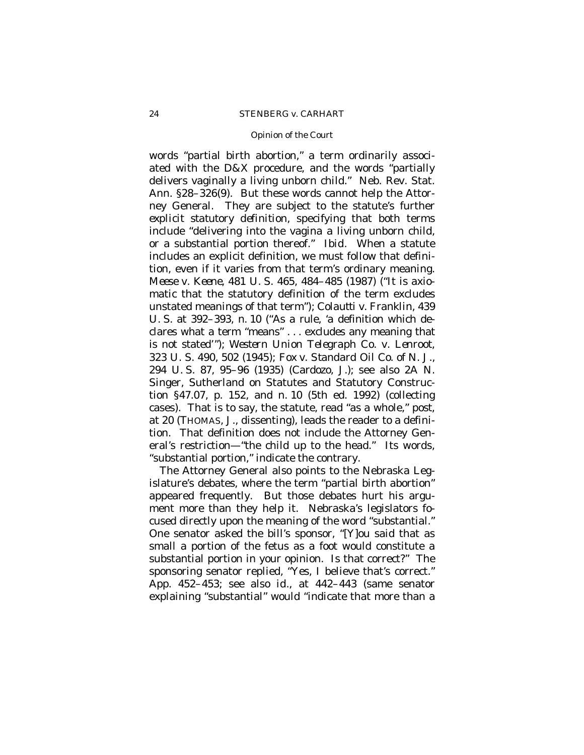#### Opinion of the Court

words "partial birth abortion," a term ordinarily associated with the D&X procedure, and the words "partially delivers vaginally a living unborn child." Neb. Rev. Stat. Ann. §28–326(9). But these words cannot help the Attorney General. They are subject to the statute's further *explicit statutory definition,* specifying that both terms include "delivering into the vagina a living unborn child, or a substantial portion thereof." *Ibid.* When a statute includes an explicit definition, we must follow that definition, even if it varies from that term's ordinary meaning. *Meese* v. *Keene*, 481 U. S. 465, 484–485 (1987) ("It is axiomatic that the statutory definition of the term excludes unstated meanings of that term"); *Colautti* v. *Franklin,* 439 U. S. at 392–393, n. 10 ("As a rule, 'a definition which declares what a term "means" . . . excludes any meaning that is not stated'"); *Western Union Telegraph Co.* v. *Lenroot*, 323 U. S. 490, 502 (1945); *Fox* v. *Standard Oil Co. of N. J.,* 294 U. S. 87, 95–96 (1935) (Cardozo, J.); see also 2A N. Singer, Sutherland on Statutes and Statutory Construction §47.07, p. 152, and n. 10 (5th ed. 1992) (collecting cases). That is to say, the statute, read "as a whole," *post*, at 20 (THOMAS, J., dissenting), leads the reader to a definition. That definition does not include the Attorney General's restriction— "the child up to the head." Its words, "substantial portion," indicate the contrary.

The Attorney General also points to the Nebraska Legislature's debates, where the term "partial birth abortion" appeared frequently. But those debates hurt his argument more than they help it. Nebraska's legislators focused directly upon the meaning of the word "substantial." One senator asked the bill's sponsor, "[Y]ou said that as small a portion of the fetus as a foot would constitute a substantial portion in your opinion. Is that correct?" The sponsoring senator replied, "Yes, I believe that's correct." App. 452–453; see also *id.,* at 442–443 (same senator explaining "substantial" would "indicate that more than a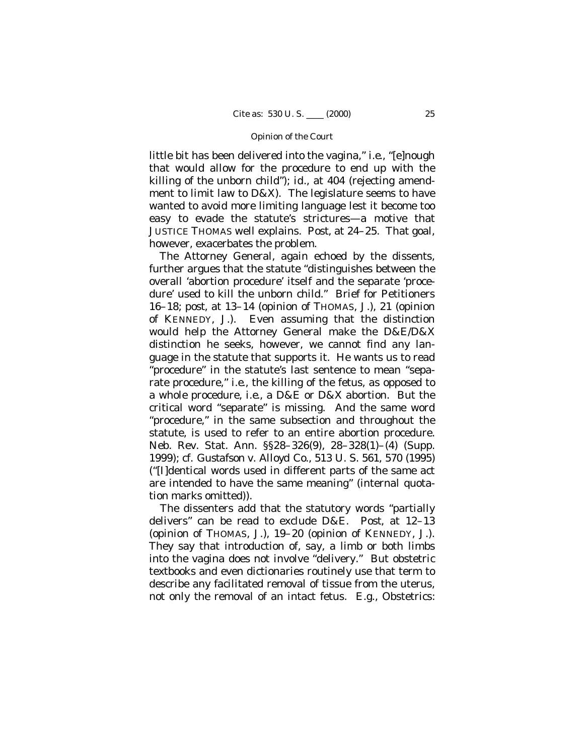little bit has been delivered into the vagina," *i.e.*, "[e]nough that would allow for the procedure to end up with the killing of the unborn child"); *id.,* at 404 (rejecting amendment to limit law to D&X). The legislature seems to have wanted to avoid more limiting language lest it become too easy to evade the statute's strictures— a motive that JUSTICE THOMAS well explains. *Post*, at 24–25. That goal, however, exacerbates the problem.

The Attorney General, again echoed by the dissents, further argues that the statute "distinguishes between the overall 'abortion procedure' itself and the separate 'procedure' used to kill the unborn child." Brief for Petitioners 16–18; *post,* at 13–14 (opinion of THOMAS, J.), 21 (opinion of KENNEDY, J.). Even assuming that the distinction would help the Attorney General make the D&E/D&X distinction he seeks, however, we cannot find any language in the statute that supports it. He wants us to read "procedure" in the statute's last sentence to mean "separate procedure," *i.e.*, the killing of the fetus, as opposed to a whole procedure, *i.e.*, a D&E or D&X abortion. But the critical word "separate" is missing. And the same word "procedure," in the same subsection and throughout the statute, is used to refer to an entire abortion procedure. Neb. Rev. Stat. Ann. §§28–326(9), 28–328(1)–(4) (Supp. 1999); cf. *Gustafson* v. *Alloyd Co.,* 513 U. S. 561, 570 (1995) ("[I]dentical words used in different parts of the same act are intended to have the same meaning" (internal quotation marks omitted)).

The dissenters add that the statutory words "partially delivers" can be read to exclude D&E. *Post*, at 12–13 (opinion of THOMAS, J.), 19–20 (opinion of KENNEDY, J.). They say that introduction of, say, a limb or both limbs into the vagina does not involve "delivery." But obstetric textbooks and even dictionaries routinely use that term to describe any facilitated removal of tissue from the uterus, not only the removal of an intact fetus. *E.g.*, Obstetrics: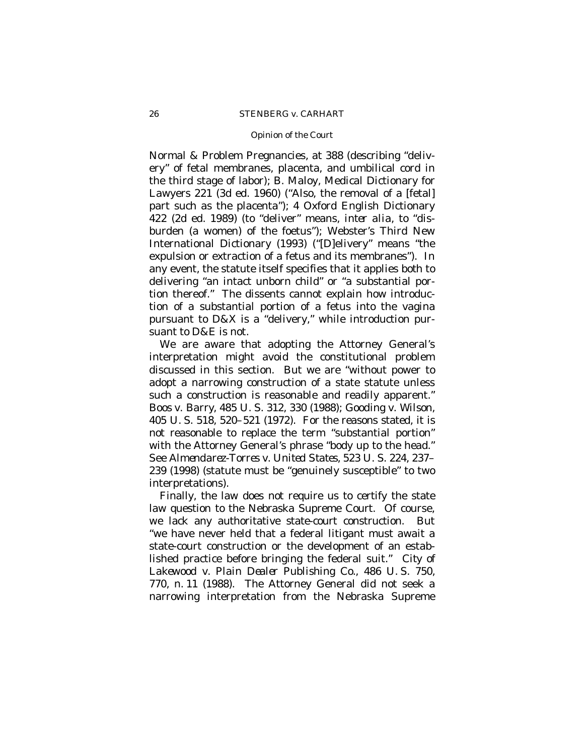#### Opinion of the Court

Normal & Problem Pregnancies, at 388 (describing "delivery" of fetal membranes, placenta, and umbilical cord in the third stage of labor); B. Maloy, Medical Dictionary for Lawyers 221 (3d ed. 1960) ("Also, the removal of a [fetal] part such as the placenta"); 4 Oxford English Dictionary 422 (2d ed. 1989) (to "deliver" means, *inter alia*, to "disburden (a women) of the foetus"); Webster's Third New International Dictionary (1993) ("[D]elivery" means "the expulsion or extraction of a fetus and its membranes"). In any event, the statute itself specifies that it applies *both* to delivering "an intact unborn child" *or* "a substantial portion thereof." The dissents cannot explain how introduction of a substantial portion of a fetus into the vagina pursuant to D&X is a "delivery," while introduction pursuant to D&E is not.

We are aware that adopting the Attorney General's interpretation might avoid the constitutional problem discussed in this section. But we are "without power to adopt a narrowing construction of a state statute unless such a construction is reasonable and readily apparent." *Boos* v. *Barry,* 485 U. S. 312, 330 (1988); *Gooding* v. *Wilson,* 405 U. S. 518, 520–521 (1972). For the reasons stated, it is not reasonable to replace the term "substantial portion" with the Attorney General's phrase "body up to the head." See *Almendarez-Torres* v. *United States,* 523 U. S. 224, 237– 239 (1998) (statute must be "genuinely susceptible" to two interpretations).

Finally, the law does not require us to certify the state law question to the Nebraska Supreme Court. Of course, we lack any authoritative state-court construction. But "we have never held that a federal litigant must await a state-court construction or the development of an established practice before bringing the federal suit." *City of Lakewood* v. *Plain Dealer Publishing Co.,* 486 U. S. 750, 770, n. 11 (1988). The Attorney General did not seek a narrowing interpretation from the Nebraska Supreme